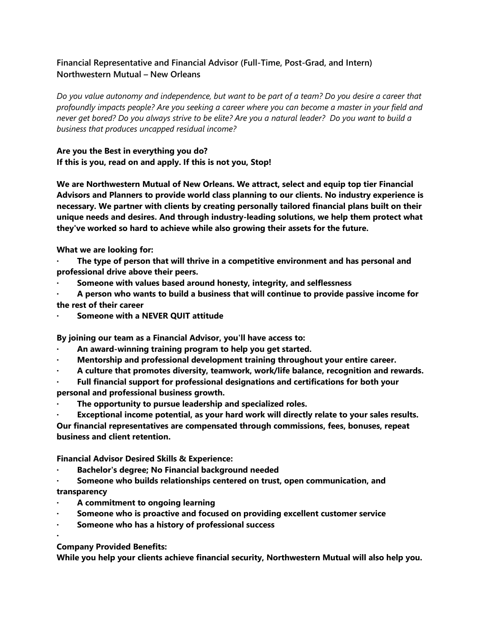## **Financial Representative and Financial Advisor (Full-Time, Post-Grad, and Intern) Northwestern Mutual – New Orleans**

Do you value autonomy and independence, but want to be part of a team? Do you desire a career that profoundly impacts people? Are you seeking a career where you can become a master in your field and never get bored? Do you always strive to be elite? Are you a natural leader? Do you want to build a *business that produces uncapped residual income?*

## **Are you the Best in everything you do? If this is you, read on and apply. If this is not you, Stop!**

**We are Northwestern Mutual of New Orleans. We attract, select and equip top tier Financial Advisors and Planners to provide world class planning to our clients. No industry experience is necessary. We partner with clients by creating personally tailored financial plans built on their unique needs and desires. And through industry-leading solutions, we help them protect what they've worked so hard to achieve while also growing their assets for the future.**

**What we are looking for:**

**· The type of person that will thrive in a competitive environment and has personal and professional drive above their peers.**

- **· Someone with values based around honesty, integrity, and selflessness**
- **· A person who wants to build a business that will continue to provide passive income for the rest of their career**
- **· Someone with a NEVER QUIT attitude**

**By joining our team as a Financial Advisor, you'll have access to:**

- **· An award-winning training program to help you get started.**
- **· Mentorship and professional development training throughout your entire career.**
- **· A culture that promotes diversity, teamwork, work/life balance, recognition and rewards.**
- **· Full financial support for professional designations and certifications for both your personal and professional business growth.**
- **· The opportunity to pursue leadership and specialized roles.**
- **· Exceptional income potential, as your hard work will directly relate to your sales results.**

**Our financial representatives are compensated through commissions, fees, bonuses, repeat business and client retention.**

**Financial Advisor Desired Skills & Experience:**

- **· Bachelor's degree; No Financial background needed**
- **· Someone who builds relationships centered on trust, open communication, and transparency**
- **· A commitment to ongoing learning**
- **· Someone who is proactive and focused on providing excellent customer service**
- **· Someone who has a history of professional success**
- **·**

**Company Provided Benefits:**

**While you help your clients achieve financial security, Northwestern Mutual will also help you.**